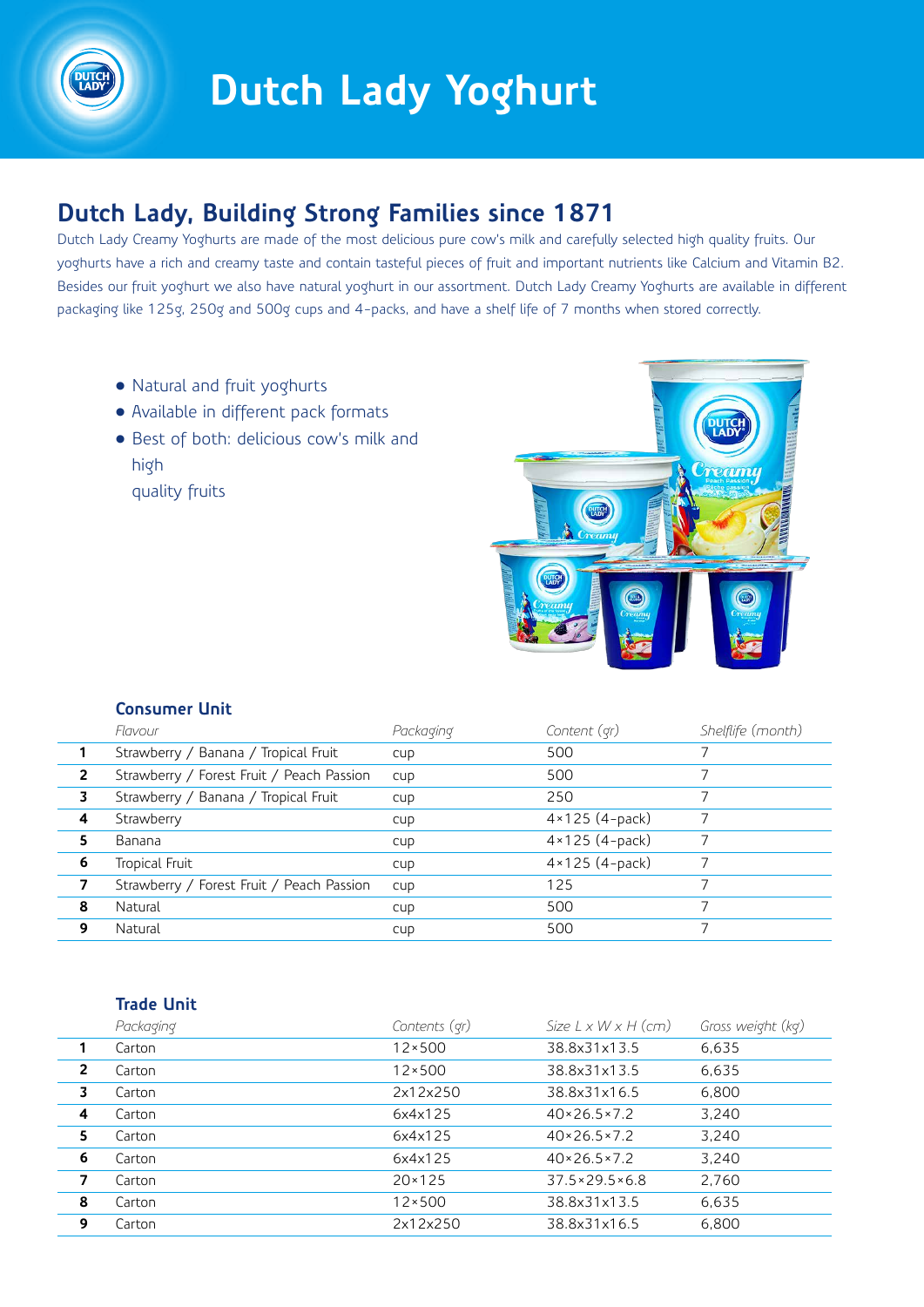

# **Dutch Lady Yoghurt**

## **Dutch Lady, Building Strong Families since 1871**

Dutch Lady Creamy Yoghurts are made of the most delicious pure cow's milk and carefully selected high quality fruits. Our yoghurts have a rich and creamy taste and contain tasteful pieces of fruit and important nutrients like Calcium and Vitamin B2. Besides our fruit yoghurt we also have natural yoghurt in our assortment. Dutch Lady Creamy Yoghurts are available in different packaging like 125g, 250g and 500g cups and 4-packs, and have a shelf life of 7 months when stored correctly.

- Natural and fruit yoghurts
- Available in different pack formats
- Best of both: delicious cow's milk and high
	- quality fruits



#### **Consumer Unit**

|                | Flavour                                   | Packaging | Content (qr)            | Shelflife (month) |
|----------------|-------------------------------------------|-----------|-------------------------|-------------------|
|                | Strawberry / Banana / Tropical Fruit      | CUD       | 500                     |                   |
| $\overline{2}$ | Strawberry / Forest Fruit / Peach Passion | cup       | 500                     |                   |
| 3              | Strawberry / Banana / Tropical Fruit      | cup       | 250                     |                   |
| 4              | Strawberry                                | cup       | $4 \times 125$ (4-pack) |                   |
| 5.             | Banana                                    | cup       | $4 \times 125$ (4-pack) |                   |
| 6              | Tropical Fruit                            | CUD       | $4 \times 125$ (4-pack) |                   |
|                | Strawberry / Forest Fruit / Peach Passion | cup       | 125                     |                   |
| 8              | Natural                                   | cup       | 500                     |                   |
| 9              | Natural                                   | cup       | 500                     |                   |

#### **Trade Unit**

|                | Packaging | Contents (qr)   | Size $L \times W \times H$ (cm) | Gross weight (kg) |
|----------------|-----------|-----------------|---------------------------------|-------------------|
| 1              | Carton    | $12 \times 500$ | 38.8x31x13.5                    | 6,635             |
| $\overline{2}$ | Carton    | $12 \times 500$ | 38.8x31x13.5                    | 6,635             |
| 3              | Carton    | 2x12x250        | 38.8x31x16.5                    | 6,800             |
| 4              | Carton    | 6x4x125         | $40 \times 26.5 \times 7.2$     | 3,240             |
| 5              | Carton    | 6x4x125         | $40 \times 26.5 \times 7.2$     | 3,240             |
| 6              | Carton    | 6x4x125         | $40 \times 26.5 \times 7.2$     | 3.240             |
| 7              | Carton    | $20 \times 125$ | $37.5 \times 29.5 \times 6.8$   | 2,760             |
| 8              | Carton    | $12 \times 500$ | 38.8x31x13.5                    | 6,635             |
| 9              | Carton    | 2x12x250        | 38.8x31x16.5                    | 6,800             |